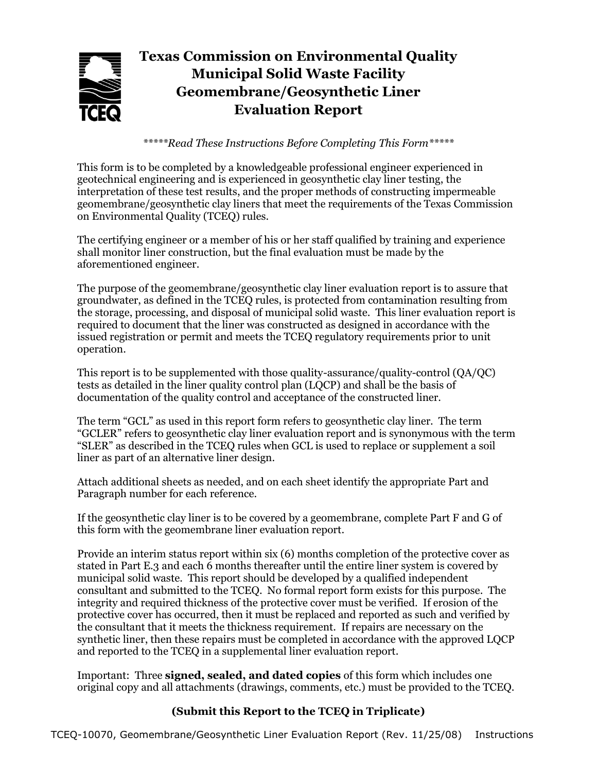# **Texas Commission on Environmental Quality Municipal Solid Waste Facility Geomembrane/Geosynthetic Liner Evaluation Report**

*\*\*\*\*\*Read These Instructions Before Completing This Form\*\*\*\*\**

This form is to be completed by a knowledgeable professional engineer experienced in geotechnical engineering and is experienced in geosynthetic clay liner testing, the interpretation of these test results, and the proper methods of constructing impermeable geomembrane/geosynthetic clay liners that meet the requirements of the Texas Commission on Environmental Quality (TCEQ) rules.

The certifying engineer or a member of his or her staff qualified by training and experience shall monitor liner construction, but the final evaluation must be made by the aforementioned engineer.

The purpose of the geomembrane/geosynthetic clay liner evaluation report is to assure that groundwater, as defined in the TCEQ rules, is protected from contamination resulting from the storage, processing, and disposal of municipal solid waste. This liner evaluation report is required to document that the liner was constructed as designed in accordance with the issued registration or permit and meets the TCEQ regulatory requirements prior to unit operation.

This report is to be supplemented with those quality-assurance/quality-control (QA/QC) tests as detailed in the liner quality control plan (LQCP) and shall be the basis of documentation of the quality control and acceptance of the constructed liner.

The term "GCL" as used in this report form refers to geosynthetic clay liner. The term "GCLER" refers to geosynthetic clay liner evaluation report and is synonymous with the term "SLER" as described in the TCEQ rules when GCL is used to replace or supplement a soil liner as part of an alternative liner design.

Attach additional sheets as needed, and on each sheet identify the appropriate Part and Paragraph number for each reference.

If the geosynthetic clay liner is to be covered by a geomembrane, complete Part F and G of this form with the geomembrane liner evaluation report.

Provide an interim status report within six (6) months completion of the protective cover as stated in Part E.3 and each 6 months thereafter until the entire liner system is covered by municipal solid waste. This report should be developed by a qualified independent consultant and submitted to the TCEQ. No formal report form exists for this purpose. The integrity and required thickness of the protective cover must be verified. If erosion of the protective cover has occurred, then it must be replaced and reported as such and verified by the consultant that it meets the thickness requirement. If repairs are necessary on the synthetic liner, then these repairs must be completed in accordance with the approved LQCP and reported to the TCEQ in a supplemental liner evaluation report.

Important: Three **signed, sealed, and dated copies** of this form which includes one original copy and all attachments (drawings, comments, etc.) must be provided to the TCEQ.

# **(Submit this Report to the TCEQ in Triplicate)**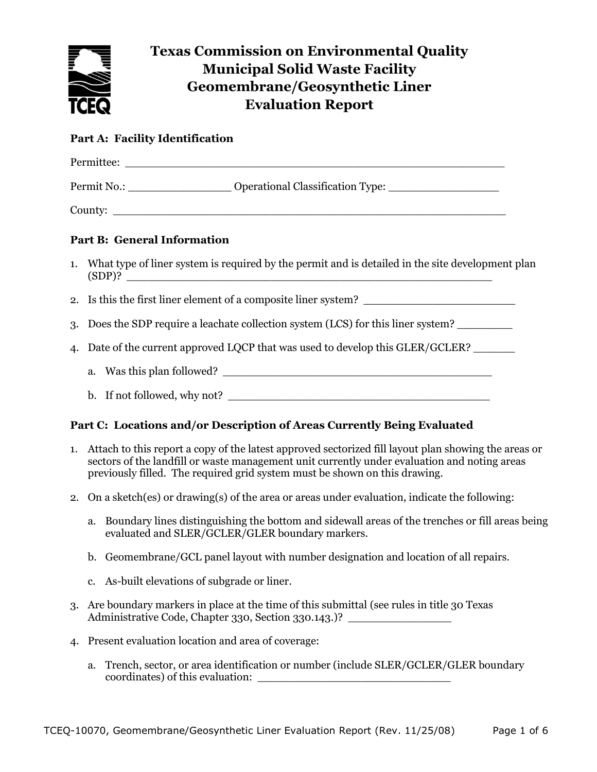

# **Texas Commission on Environmental Quality Municipal Solid Waste Facility Geomembrane/Geosynthetic Liner Evaluation Report**

# **Part A: Facility Identification**

| Permit No.: ________________________ Operational Classification Type: ______________________________          |
|---------------------------------------------------------------------------------------------------------------|
| County:                                                                                                       |
| <b>Part B: General Information</b>                                                                            |
| 1. What type of liner system is required by the permit and is detailed in the site development plan<br>(SDP)? |
| 2. Is this the first liner element of a composite liner system?                                               |
| 3. Does the SDP require a leachate collection system (LCS) for this liner system?                             |
| 4. Date of the current approved LQCP that was used to develop this GLER/GCLER?                                |
| a. Was this plan followed?                                                                                    |
| b. If not followed, why not?                                                                                  |

# **Part C: Locations and/or Description of Areas Currently Being Evaluated**

- 1. Attach to this report a copy of the latest approved sectorized fill layout plan showing the areas or sectors of the landfill or waste management unit currently under evaluation and noting areas previously filled. The required grid system must be shown on this drawing.
- 2. On a sketch(es) or drawing(s) of the area or areas under evaluation, indicate the following:
	- a. Boundary lines distinguishing the bottom and sidewall areas of the trenches or fill areas being evaluated and SLER/GCLER/GLER boundary markers.
	- b. Geomembrane/GCL panel layout with number designation and location of all repairs.
	- c. As-built elevations of subgrade or liner.
- 3. Are boundary markers in place at the time of this submittal (see rules in title 30 Texas Administrative Code, Chapter 330, Section 330.143.)?
- 4. Present evaluation location and area of coverage:
	- a. Trench, sector, or area identification or number (include SLER/GCLER/GLER boundary coordinates) of this evaluation: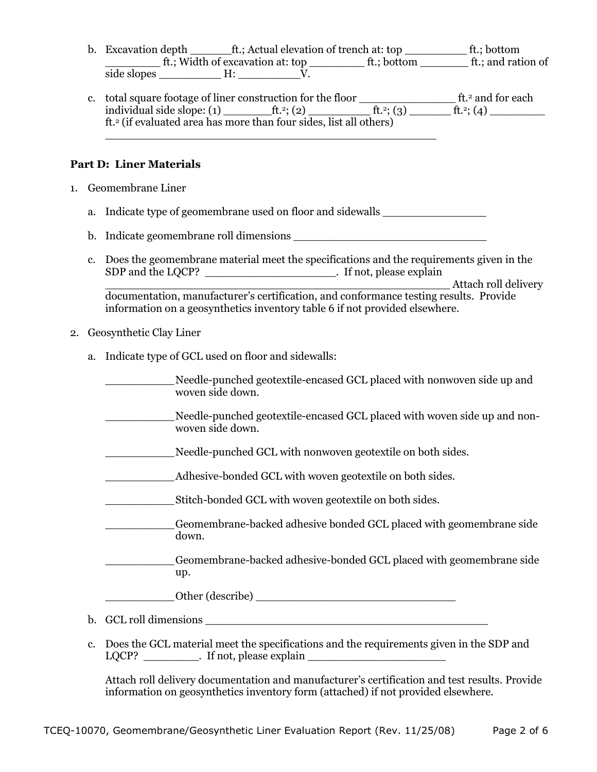- b. Excavation depth \_\_\_\_\_\_\_\_ft.; Actual elevation of trench at: top \_\_\_\_\_\_\_\_\_\_\_\_ ft.; bottom  $\underline{\hspace{1cm}}$  ft.; Width of excavation at: top  $\underline{\hspace{1cm}}$  ft.; bottom  $\underline{\hspace{1cm}}$  ft.; and ration of side slopes  $\underline{\qquad \qquad }$  H:  $\underline{\qquad \qquad }$  V.
- c. total square footage of liner construction for the floor \_\_\_\_\_\_\_\_\_\_\_\_\_\_ ft.<sup>2</sup> and for each individual side slope: (1) \_\_\_\_\_\_\_\_\_\_ft.<sup>2</sup>; (2) \_\_\_\_\_\_\_\_\_\_\_\_\_ ft.<sup>2</sup>; (3) \_\_\_\_\_\_\_\_\_\_ ft.<sup>2</sup>; (4) \_\_\_\_\_\_\_\_\_\_\_\_\_ ft.<sup>2</sup> (if evaluated area has more than four sides, list all others)

#### **Part D: Liner Materials**

- 1. Geomembrane Liner
	- a. Indicate type of geomembrane used on floor and sidewalls

\_\_\_\_\_\_\_\_\_\_\_\_\_\_\_\_\_\_\_\_\_\_\_\_\_\_\_\_\_\_\_\_\_\_\_\_\_\_\_\_\_\_\_\_\_\_\_\_

- b. Indicate geomembrane roll dimensions \_\_\_\_\_\_\_\_\_\_\_\_\_\_\_\_\_\_\_\_\_\_\_\_\_\_\_\_
- c. Does the geomembrane material meet the specifications and the requirements given in the SDP and the LQCP? \_\_\_\_\_\_\_\_\_\_\_\_\_\_\_\_\_\_\_. If not, please explain \_\_\_\_\_\_\_\_\_\_\_\_\_\_\_\_\_\_\_\_\_\_\_\_\_\_\_\_\_\_\_\_\_\_\_\_\_\_\_\_\_\_\_\_\_\_\_\_\_\_ Attach roll delivery documentation, manufacturer's certification, and conformance testing results. Provide information on a geosynthetics inventory table 6 if not provided elsewhere.

#### 2. Geosynthetic Clay Liner

a. Indicate type of GCL used on floor and sidewalls:

\_\_\_\_\_\_\_\_\_\_Needle-punched geotextile-encased GCL placed with nonwoven side up and woven side down.

- \_\_\_\_\_\_\_\_\_\_Needle-punched geotextile-encased GCL placed with woven side up and nonwoven side down.
- Needle-punched GCL with nonwoven geotextile on both sides.
- Adhesive-bonded GCL with woven geotextile on both sides.
- \_\_\_\_\_\_\_\_\_\_Stitch-bonded GCL with woven geotextile on both sides.
- \_\_\_\_\_\_\_\_\_\_Geomembrane-backed adhesive bonded GCL placed with geomembrane side down.

\_\_\_\_\_\_\_\_\_\_Geomembrane-backed adhesive-bonded GCL placed with geomembrane side up.

Other (describe)

- b. GCL roll dimensions \_\_\_\_\_\_\_\_\_\_\_\_\_\_\_\_\_\_\_\_\_\_\_\_\_\_\_\_\_\_\_\_\_\_\_\_\_\_\_\_\_
- c. Does the GCL material meet the specifications and the requirements given in the SDP and LQCP? Fig. Fig. 1. If not, please explain

Attach roll delivery documentation and manufacturer's certification and test results. Provide information on geosynthetics inventory form (attached) if not provided elsewhere.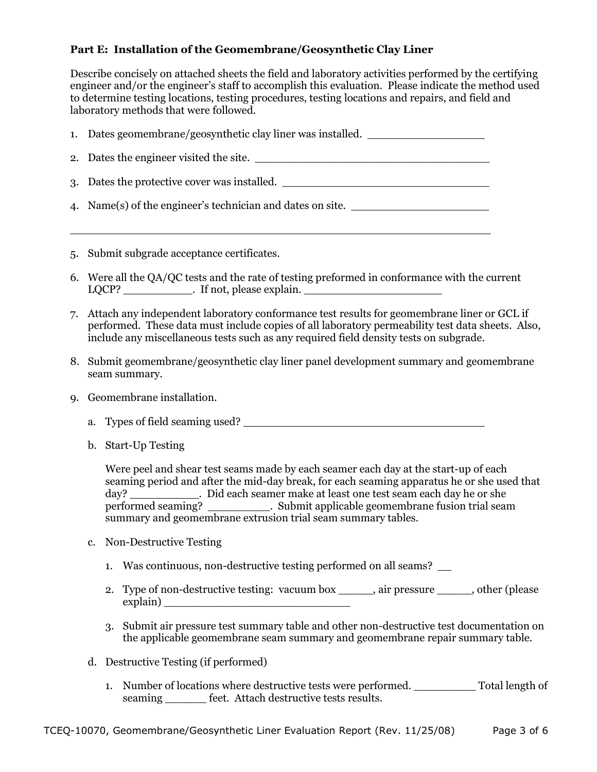## **Part E: Installation of the Geomembrane/Geosynthetic Clay Liner**

Describe concisely on attached sheets the field and laboratory activities performed by the certifying engineer and/or the engineer's staff to accomplish this evaluation. Please indicate the method used to determine testing locations, testing procedures, testing locations and repairs, and field and laboratory methods that were followed.

| 1. Dates geomembrane/geosynthetic clay liner was installed. |
|-------------------------------------------------------------|
| 2. Dates the engineer visited the site.                     |
| 3. Dates the protective cover was installed.                |
| 4. Name(s) of the engineer's technician and dates on site.  |

 $\_$  , and the set of the set of the set of the set of the set of the set of the set of the set of the set of the set of the set of the set of the set of the set of the set of the set of the set of the set of the set of th

- 5. Submit subgrade acceptance certificates.
- 6. Were all the QA/QC tests and the rate of testing preformed in conformance with the current  $LQCP?$  \_\_\_\_\_\_\_\_\_\_\_\_. If not, please explain.  $\overline{\phantom{a}}$
- 7. Attach any independent laboratory conformance test results for geomembrane liner or GCL if performed. These data must include copies of all laboratory permeability test data sheets. Also, include any miscellaneous tests such as any required field density tests on subgrade.
- 8. Submit geomembrane/geosynthetic clay liner panel development summary and geomembrane seam summary.
- 9. Geomembrane installation.
	- a. Types of field seaming used? \_\_\_\_\_\_\_\_\_\_\_\_\_\_\_\_\_\_\_\_\_\_\_\_\_\_\_\_\_\_\_\_\_\_\_
	- b. Start-Up Testing

Were peel and shear test seams made by each seamer each day at the start-up of each seaming period and after the mid-day break, for each seaming apparatus he or she used that day? \_\_\_\_\_\_\_\_\_\_. Did each seamer make at least one test seam each day he or she performed seaming? \_\_\_\_\_\_\_\_\_. Submit applicable geomembrane fusion trial seam summary and geomembrane extrusion trial seam summary tables.

- c. Non-Destructive Testing
	- 1. Was continuous, non-destructive testing performed on all seams? \_\_
	- 2. Type of non-destructive testing: vacuum box \_\_\_\_\_, air pressure \_\_\_\_\_, other (please explain) \_\_\_\_\_\_\_\_\_\_\_\_\_\_\_\_\_\_\_\_\_\_\_\_\_\_\_
	- 3. Submit air pressure test summary table and other non-destructive test documentation on the applicable geomembrane seam summary and geomembrane repair summary table.
- d. Destructive Testing (if performed)
	- 1. Number of locations where destructive tests were performed. \_\_\_\_\_\_\_\_\_ Total length of seaming \_\_\_\_\_\_\_ feet. Attach destructive tests results.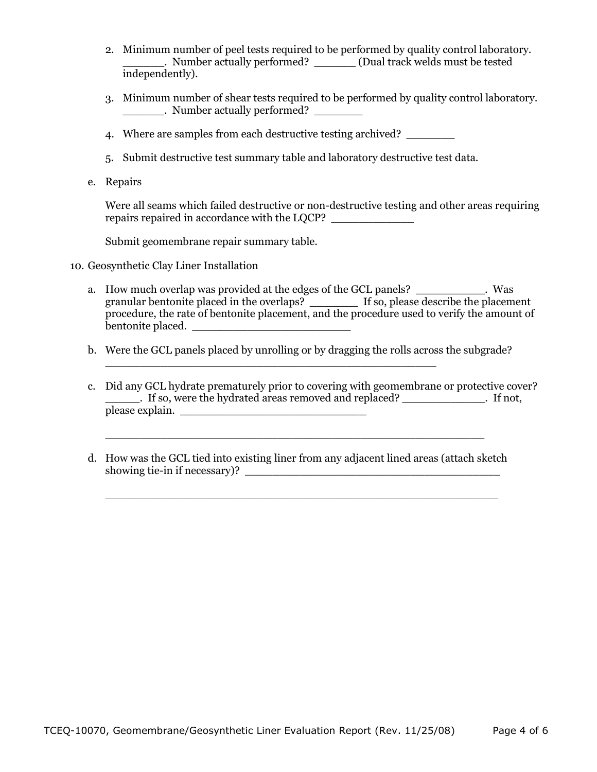- 2. Minimum number of peel tests required to be performed by quality control laboratory. \_\_\_\_\_\_. Number actually performed? \_\_\_\_\_\_ (Dual track welds must be tested independently).
- 3. Minimum number of shear tests required to be performed by quality control laboratory. \_\_\_\_\_\_. Number actually performed? \_\_\_\_\_\_\_
- 4. Where are samples from each destructive testing archived?
- 5. Submit destructive test summary table and laboratory destructive test data.
- e. Repairs

Were all seams which failed destructive or non-destructive testing and other areas requiring repairs repaired in accordance with the LQCP?

Submit geomembrane repair summary table.

- 10. Geosynthetic Clay Liner Installation
	- a. How much overlap was provided at the edges of the GCL panels? \_\_\_\_\_\_\_\_\_\_. Was granular bentonite placed in the overlaps? \_\_\_\_\_\_\_ If so, please describe the placement procedure, the rate of bentonite placement, and the procedure used to verify the amount of bentonite placed. \_\_\_\_\_\_\_\_\_\_\_\_\_\_\_\_\_\_\_\_\_\_\_
	- b. Were the GCL panels placed by unrolling or by dragging the rolls across the subgrade?

\_\_\_\_\_\_\_\_\_\_\_\_\_\_\_\_\_\_\_\_\_\_\_\_\_\_\_\_\_\_\_\_\_\_\_\_\_\_\_\_\_\_\_\_\_\_\_\_

- c. Did any GCL hydrate prematurely prior to covering with geomembrane or protective cover? Fig. 1. If so, were the hydrated areas removed and replaced? The same setting in the setting of the hydrated areas removed and replaced? please explain.
- d. How was the GCL tied into existing liner from any adjacent lined areas (attach sketch showing tie-in if necessary)?

\_\_\_\_\_\_\_\_\_\_\_\_\_\_\_\_\_\_\_\_\_\_\_\_\_\_\_\_\_\_\_\_\_\_\_\_\_\_\_\_\_\_\_\_\_\_\_\_\_\_\_\_\_\_\_\_\_

\_\_\_\_\_\_\_\_\_\_\_\_\_\_\_\_\_\_\_\_\_\_\_\_\_\_\_\_\_\_\_\_\_\_\_\_\_\_\_\_\_\_\_\_\_\_\_\_\_\_\_\_\_\_\_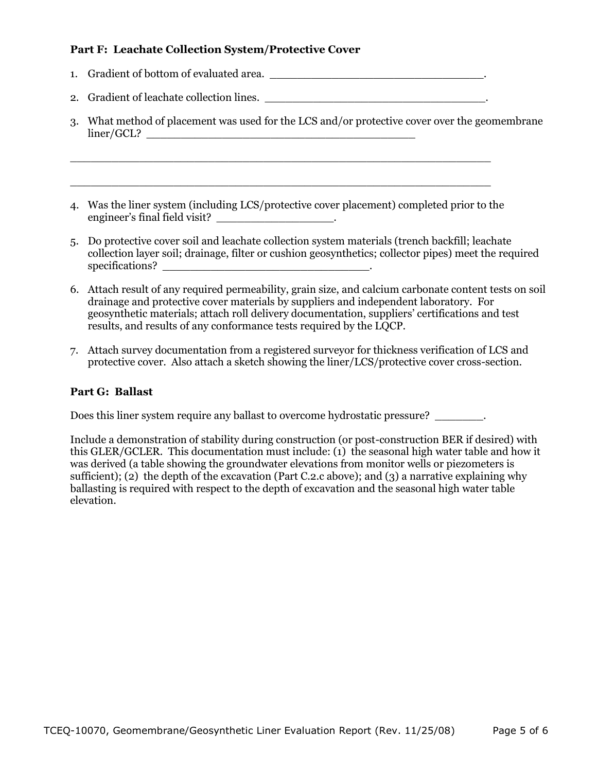## **Part F: Leachate Collection System/Protective Cover**

- 1. Gradient of bottom of evaluated area. \_\_\_\_\_\_\_\_\_\_\_\_\_\_\_\_\_\_\_\_\_\_\_\_\_\_\_\_\_\_\_.
- 2. Gradient of leachate collection lines.

 $\_$  , and the set of the set of the set of the set of the set of the set of the set of the set of the set of the set of the set of the set of the set of the set of the set of the set of the set of the set of the set of th

 $\_$  , and the set of the set of the set of the set of the set of the set of the set of the set of the set of the set of the set of the set of the set of the set of the set of the set of the set of the set of the set of th

- 3. What method of placement was used for the LCS and/or protective cover over the geomembrane  $\text{linear}/\text{GCL}$ ?
- 4. Was the liner system (including LCS/protective cover placement) completed prior to the engineer's final field visit? \_\_\_\_\_\_\_\_\_\_\_\_\_\_\_\_\_\_\_\_\_\_.
- 5. Do protective cover soil and leachate collection system materials (trench backfill; leachate collection layer soil; drainage, filter or cushion geosynthetics; collector pipes) meet the required specifications?
- 6. Attach result of any required permeability, grain size, and calcium carbonate content tests on soil drainage and protective cover materials by suppliers and independent laboratory. For geosynthetic materials; attach roll delivery documentation, suppliers' certifications and test results, and results of any conformance tests required by the LQCP.
- 7. Attach survey documentation from a registered surveyor for thickness verification of LCS and protective cover. Also attach a sketch showing the liner/LCS/protective cover cross-section.

#### **Part G: Ballast**

Does this liner system require any ballast to overcome hydrostatic pressure? \_\_\_\_\_\_\_.

Include a demonstration of stability during construction (or post-construction BER if desired) with this GLER/GCLER. This documentation must include: (1) the seasonal high water table and how it was derived (a table showing the groundwater elevations from monitor wells or piezometers is sufficient); (2) the depth of the excavation (Part C.2.c above); and (3) a narrative explaining why ballasting is required with respect to the depth of excavation and the seasonal high water table elevation.